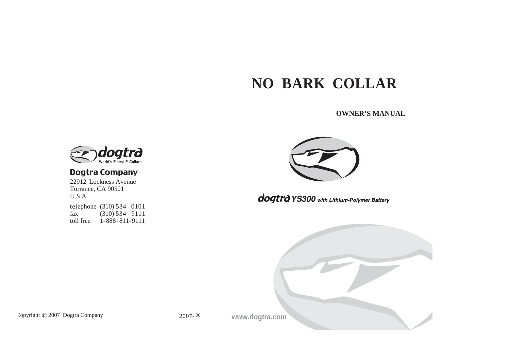# **NO BARK COLLAR**

**OWNER'S MANUAL**



### **Dogtra Company**

22912 Lockness Avenue Torrance, CA 90501 U.S.A. telephone (310) 534 - 0101<br>fax (310) 534 - 9111  $(310)$  534 - 9111 toll free 1-888-811-9111



dogtra YS300 with Lithium-Polymer Battery



Copyright C 2007 Dogtra Company

2007-

**www.dogtra.com**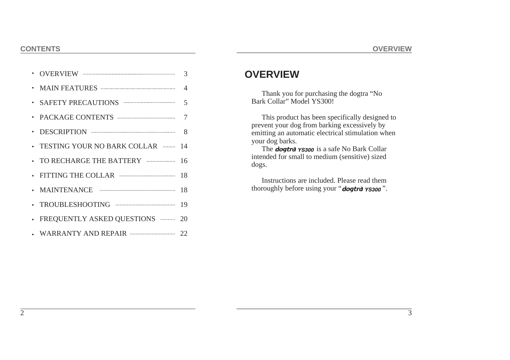|                                             | 3           |
|---------------------------------------------|-------------|
|                                             | $\varDelta$ |
|                                             | 5           |
|                                             | 7           |
| $\cdot$ DESCRIPTION $\cdots$                | 8           |
| TESTING YOUR NO BARK COLLAR                 | 14          |
| . TO RECHARGE THE BATTERY www.communication | 16          |
| · FITTING THE COLLAR                        | 18          |
|                                             | 18          |
|                                             | 19          |
| FREQUENTLY ASKED QUESTIONS                  | 20          |
|                                             |             |
|                                             |             |

### **OVERVIEW**

Thank you for purchasing the dogtra "No Bark Collar" Model YS300!

This product has been specifically designed to prevent your dog from barking excessively by emitting an automatic electrical stimulation when your dog barks.

The **dogtra YS300** is a safe No Bark Collar intended for small to medium (sensitive) sized dogs.

Instructions are included. Please read them thoroughly before using your "dogtrd yssoo".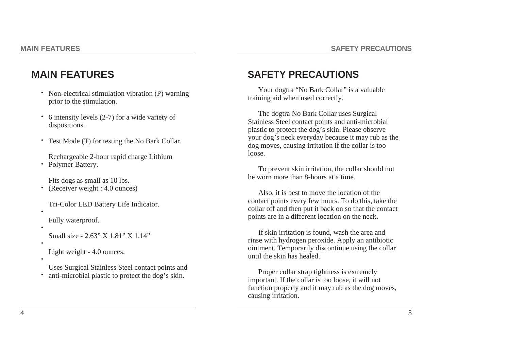## **MAIN FEATURES**

- Non-electrical stimulation vibration (P) warning prior to the stimulation.
- 6 intensity levels (2-7) for a wide variety of dispositions. •
- Test Mode (T) for testing the No Bark Collar. •
- Rechargeable 2-hour rapid charge Lithium
- Polymer Battery.

Fits dogs as small as 10 lbs.

- (Receiver weight : 4.0 ounces) •
- Tri-Color LED Battery Life Indicator.
- Fully waterproof.

•

•

•

•

- Small size 2.63" X 1.81" X 1.14"
- Light weight 4.0 ounces.
- Uses Surgical Stainless Steel contact points and anti-microbial plastic to protect the dog's skin. •

## **SAFETY PRECAUTIONS**

Your dogtra "No Bark Collar" is a valuable training aid when used correctly.

The dogtra No Bark Collar uses Surgical Stainless Steel contact points and anti-microbial plastic to protect the dog's skin. Please observe your dog's neck everyday because it may rub as the dog moves, causing irritation if the collar is too loose.

To prevent skin irritation, the collar should not be worn more than 8-hours at a time.

Also, it is best to move the location of the contact points every few hours. To do this, take the collar off and then put it back on so that the contact points are in a different location on the neck.

If skin irritation is found, wash the area and rinse with hydrogen peroxide. Apply an antibiotic ointment. Temporarily discontinue using the collar until the skin has healed.

Proper collar strap tightness is extremely important. If the collar is too loose, it will not function properly and it may rub as the dog moves, causing irritation.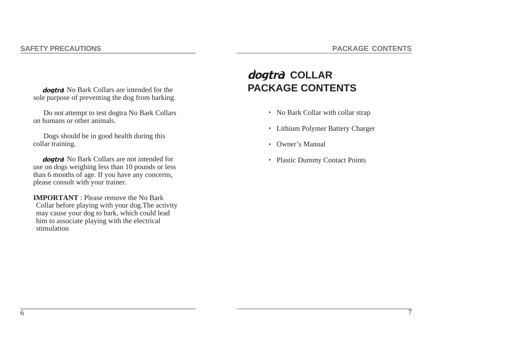7

**doatra** No Bark Collars are intended for the sole purpose of preventing the dog from barking.

Do not attempt to test dogtra No Bark Collars on humans or other animals.

Dogs should be in good health during this collar training.

**dogtra** No Bark Collars are not intended for use on dogs weighing less than 10 pounds or less than 6 months of age. If you have any concerns, please consult with your trainer.

**IMPORTANT** : Please remove the No Bark Collar before playing with your dog.The activity may cause your dog to bark, which could lead him to associate playing with the electrical stimulation

# dogtra COLLAR **PACKAGE CONTENTS**

- No Bark Collar with collar strap
- Lithium Polymer Battery Charger
- Owner's Manual
- Plastic Dummy Contact Points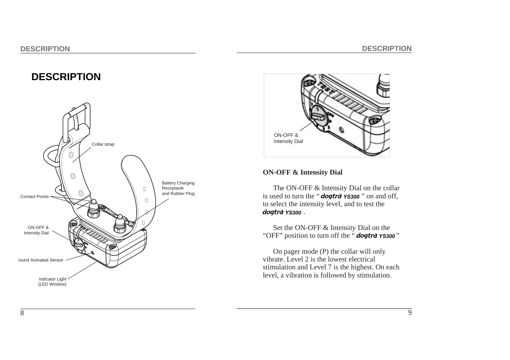### **DESCRIPTION**





#### **ON-OFF & Intensity Dial**

The ON-OFF  $&$  Intensity Dial on the collar is used to turn the " $d$ ogtra  $\gamma$ ssoo" on and off, to select the intensity level, and to test the dogtrà YS300.

Set the ON-OFF & Intensity Dial on the "OFF" position to turn off the " **dogtra YS300**"

On pager mode (P) the collar will only vibrate. Level 2 is the lowest electrical stimulation and Level 7 is the highest. On each level, a vibration is followed by stimulation.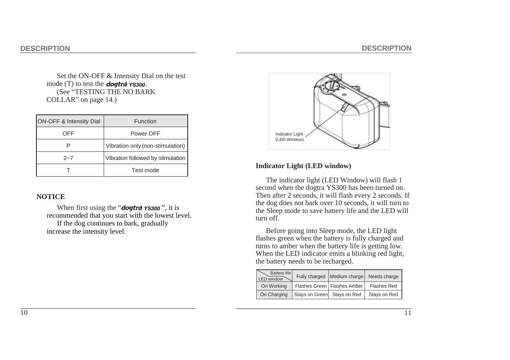Set the ON-OFF & Intensity Dial on the test mode  $(T)$  to test the *dogtra*  $\gamma$ **s***300*. (See "TESTING THE NO BARK COLLAR" on page 14.)

| <b>ON-OFF &amp; Intensity Dial</b> | <b>Function</b>                   |
|------------------------------------|-----------------------------------|
| OFF                                | Power OFF                         |
|                                    | Vibration only (non-stimulation)  |
| $2 - 7$                            | Vibration followed by stimulation |
|                                    | Test mode                         |

#### **NOTICE**

When first using the "**dogtra YS300**", it is recommended that you start with the lowest level. If the dog continues to bark, gradually increase the intensity level.



#### **Indicator Light (LED window)**

The indicator light (LED Window) will flash 1 second when the dogtra YS300 has been turned on. Then after 2 seconds, it will flash every 2 seconds. If the dog does not bark over 10 seconds, it will turn to the Sleep mode to save battery life and the LED will turn off.

Before going into Sleep mode, the LED light flashes green when the battery is fully charged and turns to amber when the battery life is getting low. When the LED indicator emits a blinking red light, the battery needs to be recharged.

| Battery life<br>LED window |                             | Fully charged   Medium charge | Needs charge       |
|----------------------------|-----------------------------|-------------------------------|--------------------|
| On Working                 |                             | Flashes Green   Flashes Amber | <b>Flashes Red</b> |
| On Charging                | Stays on Green Stays on Red |                               | Stays on Red       |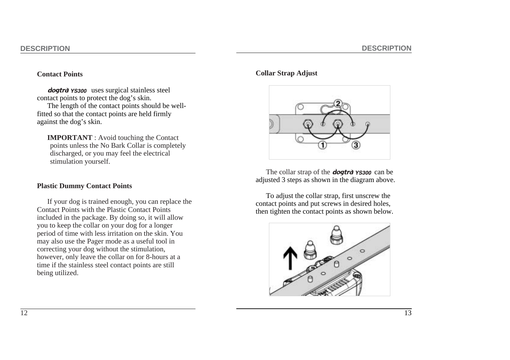#### **Contact Points**

dogtra *YS300* uses surgical stainless steel contact points to protect the dog's skin. The length of the contact points should be wellfitted so that the contact points are held firmly against the dog's skin.

**IMPORTANT** : Avoid touching the Contact points unless the No Bark Collar is completely discharged, or you may feel the electrical stimulation yourself.

#### **Plastic Dummy Contact Points**

If your dog is trained enough, you can replace the Contact Points with the Plastic Contact Points included in the package. By doing so, it will allow you to keep the collar on your dog for a longer period of time with less irritation on the skin. You may also use the Pager mode as a useful tool in correcting your dog without the stimulation, however, only leave the collar on for 8-hours at a time if the stainless steel contact points are still being utilized.

#### **Collar Strap Adjust**



The collar strap of the *dogtra ys300* can be adjusted 3 steps as shown in the diagram above.

To adjust the collar strap, first unscrew the contact points and put screws in desired holes, then tighten the contact points as shown below.

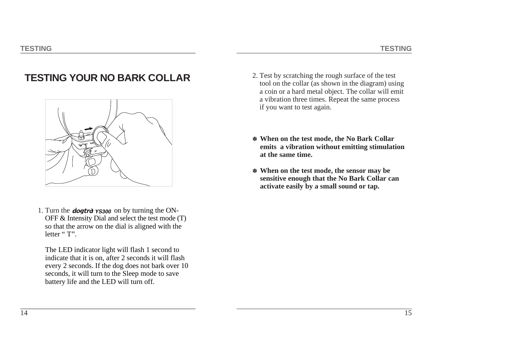### **TESTING YOUR NO BARK COLLAR**



1. Turn the **dogtra YS300** on by turning the ON-OFF & Intensity Dial and select the test mode (T) so that the arrow on the dial is aligned with the letter "T".

The LED indicator light will flash 1 second to indicate that it is on, after 2 seconds it will flash every 2 seconds. If the dog does not bark over 10 seconds, it will turn to the Sleep mode to save battery life and the LED will turn off.

- 2. Test by scratching the rough surface of the test tool on the collar (as shown in the diagram) using a coin or a hard metal object. The collar will emit a vibration three times. Repeat the same process if you want to test again.
- \* **When on the test mode, the No Bark Collar emits a vibration without emitting stimulation at the same time.**
- \* **When on the test mode, the sensor may be sensitive enough that the No Bark Collar can activate easily by a small sound or tap.**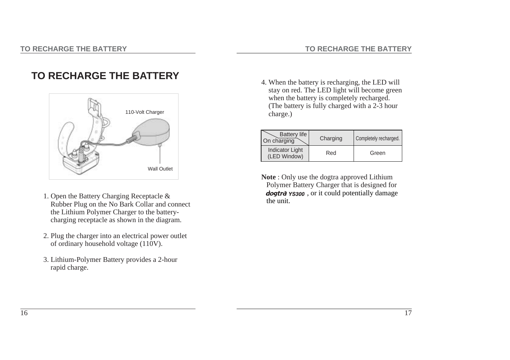## **TO RECHARGE THE BATTERY**



- 1. Open the Battery Charging Receptacle & Rubber Plug on the No Bark Collar and connect the Lithium Polymer Charger to the batterycharging receptacle as shown in the diagram.
- 2. Plug the charger into an electrical power outlet of ordinary household voltage (110V).
- 3. Lithium-Polymer Battery provides a 2-hour rapid charge.

4. When the battery is recharging, the LED will stay on red. The LED light will become green when the battery is completely recharged. (The battery is fully charged with a 2-3 hour charge.)

| <b>Battery life</b><br>On charging     | Charging | Completely recharged. |
|----------------------------------------|----------|-----------------------|
| <b>Indicator Light</b><br>(LED Window) | Red      | Green                 |

**Note** : Only use the dogtra approved Lithium Polymer Battery Charger that is designed for dogtra  $\gamma$ S300, or it could potentially damage the unit.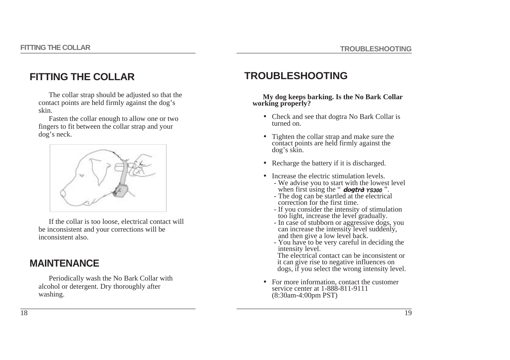### **FITTING THE COLLAR**

The collar strap should be adjusted so that the contact points are held firmly against the dog's skin.

Fasten the collar enough to allow one or two fingers to fit between the collar strap and your dog's neck.



If the collar is too loose, electrical contact will be inconsistent and your corrections will be inconsistent also.

### **MAINTENANCE**

Periodically wash the No Bark Collar with alcohol or detergent. Dry thoroughly after washing.

### **TROUBLESHOOTING**

#### **My dog keeps barking. Is the No Bark Collar working properly?**

- Check and see that dogtra No Bark Collar is turned on.
- Tighten the collar strap and make sure the contact points are held firmly against the dog's skin.
- Recharge the battery if it is discharged.
- Increase the electric stimulation levels.
	- We advise you to start with the lowest level when first using the " **dogtra ys300**".
	- The dog can be startled at the electrical correction for the first time.
	- If you consider the intensity of stimulation too light, increase the level gradually.
	- In case of stubborn or aggressive dogs, you can increase the intensity level suddenly, and then give a low level back.
	- You have to be very careful in deciding the intensity level.

The electrical contact can be inconsistent or it can give rise to negative influences on dogs, if you select the wrong intensity level.

• For more information, contact the customer service center at 1-888-811-9111 (8:30am-4:00pm PST)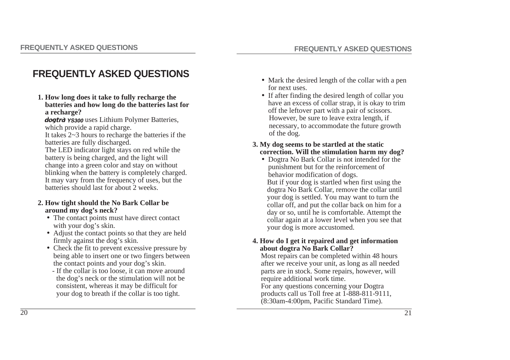## **FREQUENTLY ASKED QUESTIONS**

**1. How long does it take to fully recharge the batteries and how long do the batteries last for a recharge?**

dogtrd YS300 uses Lithium Polymer Batteries, which provide a rapid charge.

It takes 2~3 hours to recharge the batteries if the batteries are fully discharged.

The LED indicator light stays on red while the battery is being charged, and the light will change into a green color and stay on without blinking when the battery is completely charged. It may vary from the frequency of uses, but the batteries should last for about 2 weeks.

#### **2. How tight should the No Bark Collar be around my dog's neck?**

- The contact points must have direct contact with your dog's skin.
- Adjust the contact points so that they are held firmly against the dog's skin.
- •Check the fit to prevent excessive pressure by being able to insert one or two fingers between the contact points and your dog's skin.
	- If the collar is too loose, it can move around the dog's neck or the stimulation will not be consistent, whereas it may be difficult for your dog to breath if the collar is too tight.
- Mark the desired length of the collar with a pen for next uses.
- If after finding the desired length of collar you have an excess of collar strap, it is okay to trim off the leftover part with a pair of scissors. However, be sure to leave extra length, if necessary, to accommodate the future growth of the dog.
- **3. My dog seems to be startled at the static correction. Will the stimulation harm my dog?**
	- •Dogtra No Bark Collar is not intended for the punishment but for the reinforcement of behavior modification of dogs. But if your dog is startled when first using the dogtra No Bark Collar, remove the collar until your dog is settled. You may want to turn the collar off, and put the collar back on him for a day or so, until he is comfortable. Attempt the collar again at a lower level when you see that your dog is more accustomed.

#### **4. How do I get it repaired and get information about dogtra No Bark Collar?**

Most repairs can be completed within 48 hours after we receive your unit, as long as all needed parts are in stock. Some repairs, however, will require additional work time. For any questions concerning your Dogtra products call us Toll free at 1-888-811-9111, (8:30am-4:00pm, Pacific Standard Time).